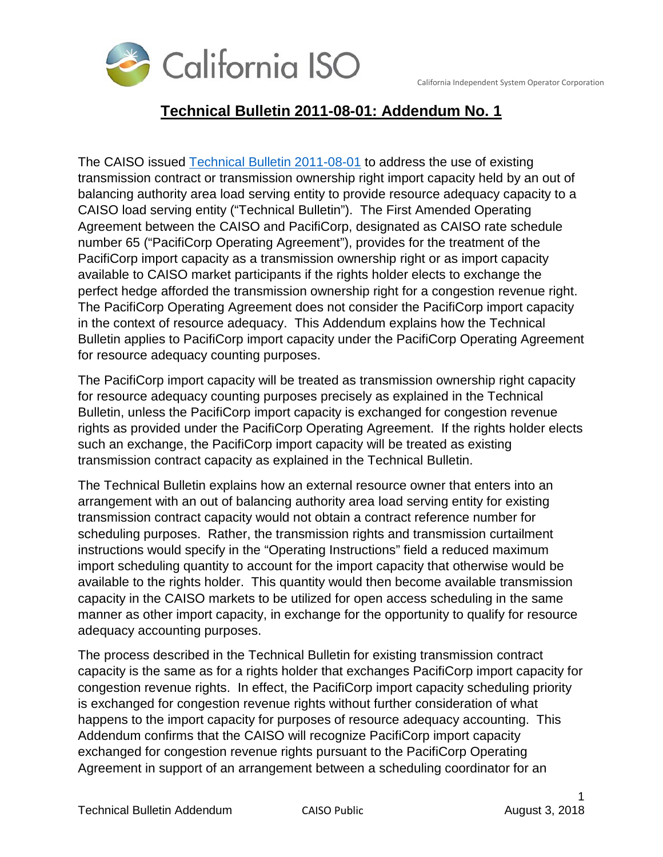

## **Technical Bulletin 2011-08-01: Addendum No. 1**

The CAISO issued Technical [Bulletin 2011-08-01](http://www.caiso.com/Documents/UseofETCorTORImportCapacitytoProvideResourceAdequacyCapacity.pdf) to address the use of existing transmission contract or transmission ownership right import capacity held by an out of balancing authority area load serving entity to provide resource adequacy capacity to a CAISO load serving entity ("Technical Bulletin"). The First Amended Operating Agreement between the CAISO and PacifiCorp, designated as CAISO rate schedule number 65 ("PacifiCorp Operating Agreement"), provides for the treatment of the PacifiCorp import capacity as a transmission ownership right or as import capacity available to CAISO market participants if the rights holder elects to exchange the perfect hedge afforded the transmission ownership right for a congestion revenue right. The PacifiCorp Operating Agreement does not consider the PacifiCorp import capacity in the context of resource adequacy. This Addendum explains how the Technical Bulletin applies to PacifiCorp import capacity under the PacifiCorp Operating Agreement for resource adequacy counting purposes.

The PacifiCorp import capacity will be treated as transmission ownership right capacity for resource adequacy counting purposes precisely as explained in the Technical Bulletin, unless the PacifiCorp import capacity is exchanged for congestion revenue rights as provided under the PacifiCorp Operating Agreement. If the rights holder elects such an exchange, the PacifiCorp import capacity will be treated as existing transmission contract capacity as explained in the Technical Bulletin.

The Technical Bulletin explains how an external resource owner that enters into an arrangement with an out of balancing authority area load serving entity for existing transmission contract capacity would not obtain a contract reference number for scheduling purposes. Rather, the transmission rights and transmission curtailment instructions would specify in the "Operating Instructions" field a reduced maximum import scheduling quantity to account for the import capacity that otherwise would be available to the rights holder. This quantity would then become available transmission capacity in the CAISO markets to be utilized for open access scheduling in the same manner as other import capacity, in exchange for the opportunity to qualify for resource adequacy accounting purposes.

The process described in the Technical Bulletin for existing transmission contract capacity is the same as for a rights holder that exchanges PacifiCorp import capacity for congestion revenue rights. In effect, the PacifiCorp import capacity scheduling priority is exchanged for congestion revenue rights without further consideration of what happens to the import capacity for purposes of resource adequacy accounting. This Addendum confirms that the CAISO will recognize PacifiCorp import capacity exchanged for congestion revenue rights pursuant to the PacifiCorp Operating Agreement in support of an arrangement between a scheduling coordinator for an